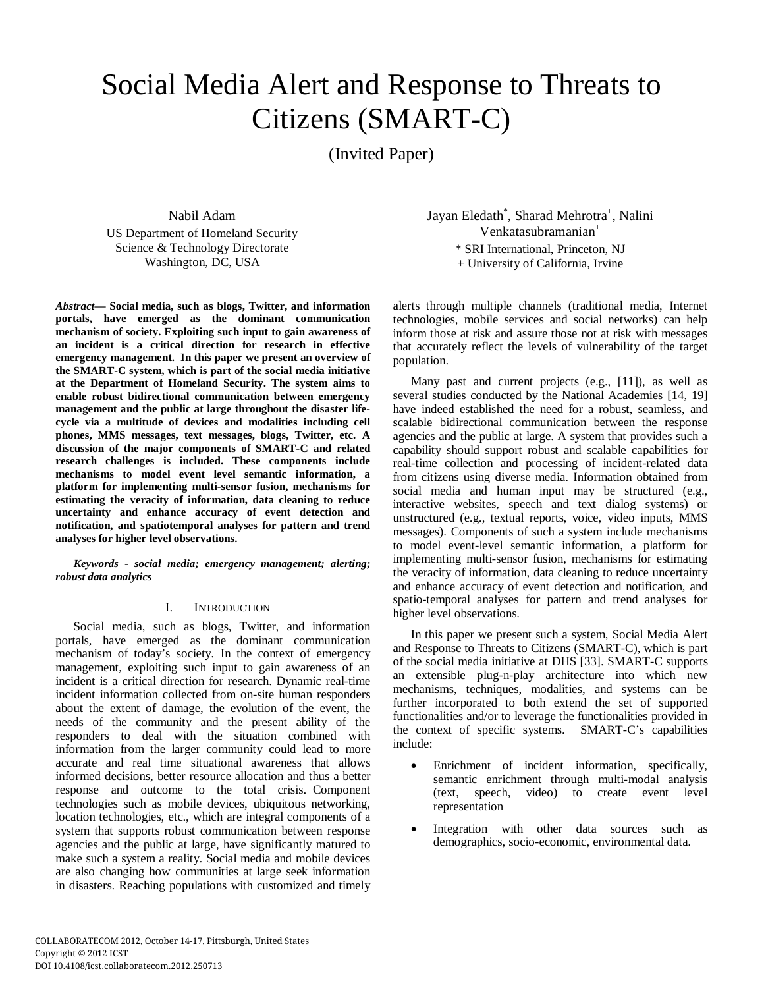# Social Media Alert and Response to Threats to Citizens (SMART-C)

(Invited Paper)

Nabil Adam US Department of Homeland Security Science & Technology Directorate Washington, DC, USA

*Abstract***— Social media, such as blogs, Twitter, and information portals, have emerged as the dominant communication mechanism of society. Exploiting such input to gain awareness of an incident is a critical direction for research in effective emergency management. In this paper we present an overview of the SMART-C system, which is part of the social media initiative at the Department of Homeland Security. The system aims to enable robust bidirectional communication between emergency management and the public at large throughout the disaster lifecycle via a multitude of devices and modalities including cell phones, MMS messages, text messages, blogs, Twitter, etc. A discussion of the major components of SMART-C and related research challenges is included. These components include mechanisms to model event level semantic information, a platform for implementing multi-sensor fusion, mechanisms for estimating the veracity of information, data cleaning to reduce uncertainty and enhance accuracy of event detection and notification, and spatiotemporal analyses for pattern and trend analyses for higher level observations.** 

*Keywords - social media; emergency management; alerting; robust data analytics* 

## I. INTRODUCTION

Social media, such as blogs, Twitter, and information portals, have emerged as the dominant communication mechanism of today's society. In the context of emergency management, exploiting such input to gain awareness of an incident is a critical direction for research. Dynamic real-time incident information collected from on-site human responders about the extent of damage, the evolution of the event, the needs of the community and the present ability of the responders to deal with the situation combined with information from the larger community could lead to more accurate and real time situational awareness that allows informed decisions, better resource allocation and thus a better response and outcome to the total crisis. Component technologies such as mobile devices, ubiquitous networking, location technologies, etc., which are integral components of a system that supports robust communication between response agencies and the public at large, have significantly matured to make such a system a reality. Social media and mobile devices are also changing how communities at large seek information in disasters. Reaching populations with customized and timely

Jayan Eledath<sup>\*</sup>, Sharad Mehrotra<sup>+</sup>, Nalini Venkatasubramanian+ \* SRI International, Princeton, NJ + University of California, Irvine

alerts through multiple channels (traditional media, Internet technologies, mobile services and social networks) can help inform those at risk and assure those not at risk with messages that accurately reflect the levels of vulnerability of the target population.

Many past and current projects (e.g., [11]), as well as several studies conducted by the National Academies [14, 19] have indeed established the need for a robust, seamless, and scalable bidirectional communication between the response agencies and the public at large. A system that provides such a capability should support robust and scalable capabilities for real-time collection and processing of incident-related data from citizens using diverse media. Information obtained from social media and human input may be structured (e.g., interactive websites, speech and text dialog systems) or unstructured (e.g., textual reports, voice, video inputs, MMS messages). Components of such a system include mechanisms to model event-level semantic information, a platform for implementing multi-sensor fusion, mechanisms for estimating the veracity of information, data cleaning to reduce uncertainty and enhance accuracy of event detection and notification, and spatio-temporal analyses for pattern and trend analyses for higher level observations.

In this paper we present such a system, Social Media Alert and Response to Threats to Citizens (SMART-C), which is part of the social media initiative at DHS [33]. SMART-C supports an extensible plug-n-play architecture into which new mechanisms, techniques, modalities, and systems can be further incorporated to both extend the set of supported functionalities and/or to leverage the functionalities provided in the context of specific systems. SMART-C's capabilities include:

- Enrichment of incident information, specifically, semantic enrichment through multi-modal analysis (text, speech, video) to create event level representation
- Integration with other data sources such as demographics, socio-economic, environmental data.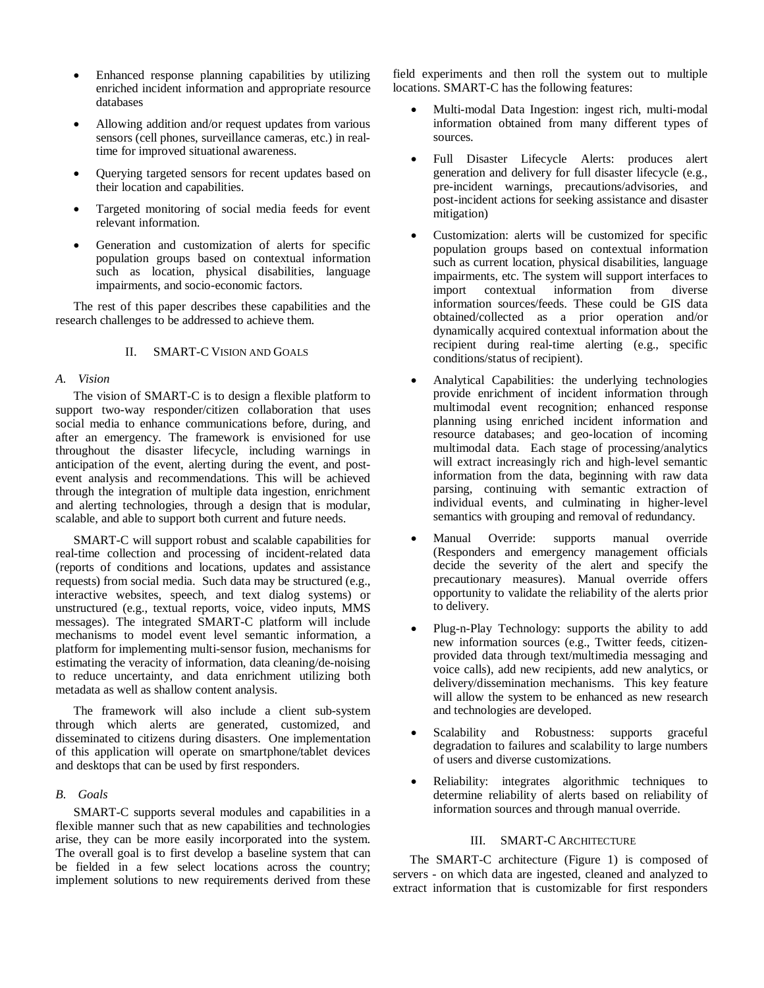- Enhanced response planning capabilities by utilizing enriched incident information and appropriate resource databases
- Allowing addition and/or request updates from various sensors (cell phones, surveillance cameras, etc.) in realtime for improved situational awareness.
- Querying targeted sensors for recent updates based on their location and capabilities.
- Targeted monitoring of social media feeds for event relevant information.
- Generation and customization of alerts for specific population groups based on contextual information such as location, physical disabilities, language impairments, and socio-economic factors.

The rest of this paper describes these capabilities and the research challenges to be addressed to achieve them.

## II. SMART-C VISION AND GOALS

## *A. Vision*

The vision of SMART-C is to design a flexible platform to support two-way responder/citizen collaboration that uses social media to enhance communications before, during, and after an emergency. The framework is envisioned for use throughout the disaster lifecycle, including warnings in anticipation of the event, alerting during the event, and postevent analysis and recommendations. This will be achieved through the integration of multiple data ingestion, enrichment and alerting technologies, through a design that is modular, scalable, and able to support both current and future needs.

SMART-C will support robust and scalable capabilities for real-time collection and processing of incident-related data (reports of conditions and locations, updates and assistance requests) from social media. Such data may be structured (e.g., interactive websites, speech, and text dialog systems) or unstructured (e.g., textual reports, voice, video inputs, MMS messages). The integrated SMART-C platform will include mechanisms to model event level semantic information, a platform for implementing multi-sensor fusion, mechanisms for estimating the veracity of information, data cleaning/de-noising to reduce uncertainty, and data enrichment utilizing both metadata as well as shallow content analysis.

The framework will also include a client sub-system through which alerts are generated, customized, and disseminated to citizens during disasters. One implementation of this application will operate on smartphone/tablet devices and desktops that can be used by first responders.

# *B. Goals*

SMART-C supports several modules and capabilities in a flexible manner such that as new capabilities and technologies arise, they can be more easily incorporated into the system. The overall goal is to first develop a baseline system that can be fielded in a few select locations across the country; implement solutions to new requirements derived from these field experiments and then roll the system out to multiple locations. SMART-C has the following features:

- Multi-modal Data Ingestion: ingest rich, multi-modal information obtained from many different types of sources.
- Full Disaster Lifecycle Alerts: produces alert generation and delivery for full disaster lifecycle (e.g., pre-incident warnings, precautions/advisories, and post-incident actions for seeking assistance and disaster mitigation)
- Customization: alerts will be customized for specific population groups based on contextual information such as current location, physical disabilities, language impairments, etc. The system will support interfaces to import contextual information from diverse information sources/feeds. These could be GIS data obtained/collected as a prior operation and/or dynamically acquired contextual information about the recipient during real-time alerting (e.g., specific conditions/status of recipient).
- Analytical Capabilities: the underlying technologies provide enrichment of incident information through multimodal event recognition; enhanced response planning using enriched incident information and resource databases; and geo-location of incoming multimodal data. Each stage of processing/analytics will extract increasingly rich and high-level semantic information from the data, beginning with raw data parsing, continuing with semantic extraction of individual events, and culminating in higher-level semantics with grouping and removal of redundancy.
- Manual Override: supports manual override (Responders and emergency management officials decide the severity of the alert and specify the precautionary measures). Manual override offers opportunity to validate the reliability of the alerts prior to delivery.
- Plug-n-Play Technology: supports the ability to add new information sources (e.g., Twitter feeds, citizenprovided data through text/multimedia messaging and voice calls), add new recipients, add new analytics, or delivery/dissemination mechanisms. This key feature will allow the system to be enhanced as new research and technologies are developed.
- Scalability and Robustness: supports graceful degradation to failures and scalability to large numbers of users and diverse customizations.
- Reliability: integrates algorithmic techniques to determine reliability of alerts based on reliability of information sources and through manual override.

## III. SMART-C ARCHITECTURE

The SMART-C architecture (Figure 1) is composed of servers - on which data are ingested, cleaned and analyzed to extract information that is customizable for first responders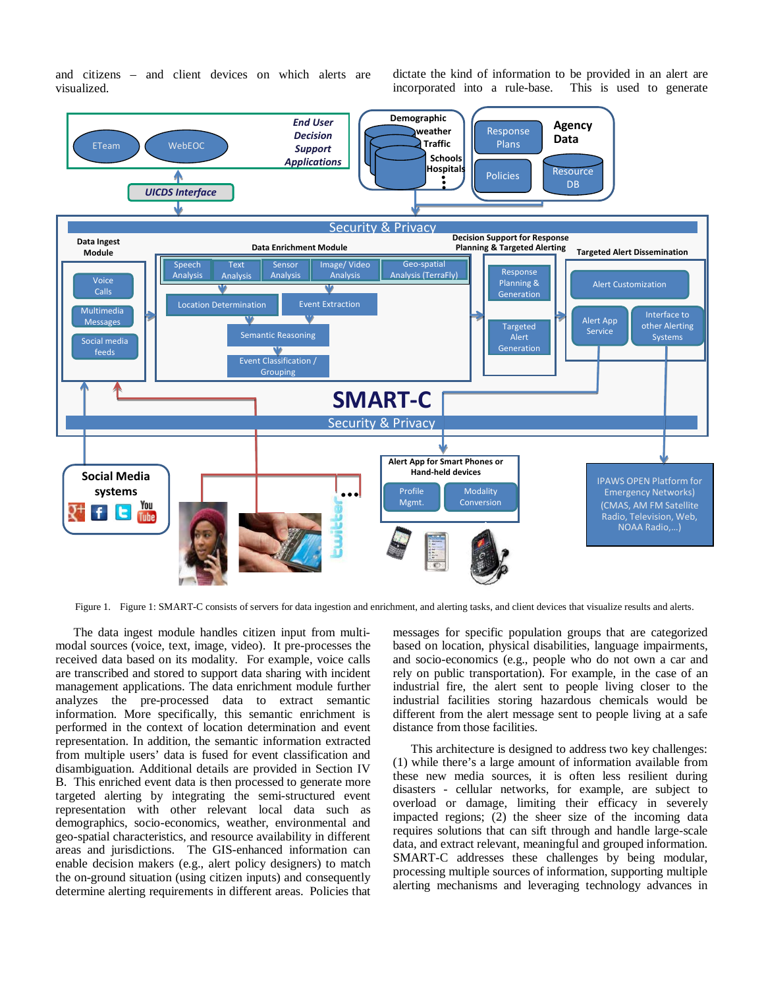and citizens – and client devices on which alerts are visualized.

dictate the kind of information to be provided in an alert are incorporated into a rule-base. This is used to generate



Figure 1. Figure 1: SMART-C consists of servers for data ingestion and enrichment, and alerting tasks, and client devices that visualize results and alerts.

The data ingest module handles citizen input from multimodal sources (voice, text, image, video). It pre-processes the received data based on its modality. For example, voice calls are transcribed and stored to support data sharing with incident management applications. The data enrichment module further analyzes the pre-processed data to extract semantic information. More specifically, this semantic enrichment is performed in the context of location determination and event representation. In addition, the semantic information extracted from multiple users' data is fused for event classification and disambiguation. Additional details are provided in Section IV B. This enriched event data is then processed to generate more targeted alerting by integrating the semi-structured event representation with other relevant local data such as demographics, socio-economics, weather, environmental and geo-spatial characteristics, and resource availability in different areas and jurisdictions. The GIS-enhanced information can enable decision makers (e.g., alert policy designers) to match the on-ground situation (using citizen inputs) and consequently determine alerting requirements in different areas. Policies that

messages for specific population groups that are categorized based on location, physical disabilities, language impairments, and socio-economics (e.g., people who do not own a car and rely on public transportation). For example, in the case of an industrial fire, the alert sent to people living closer to the industrial facilities storing hazardous chemicals would be different from the alert message sent to people living at a safe distance from those facilities.

This architecture is designed to address two key challenges: (1) while there's a large amount of information available from these new media sources, it is often less resilient during disasters - cellular networks, for example, are subject to overload or damage, limiting their efficacy in severely impacted regions; (2) the sheer size of the incoming data requires solutions that can sift through and handle large-scale data, and extract relevant, meaningful and grouped information. SMART-C addresses these challenges by being modular, processing multiple sources of information, supporting multiple alerting mechanisms and leveraging technology advances in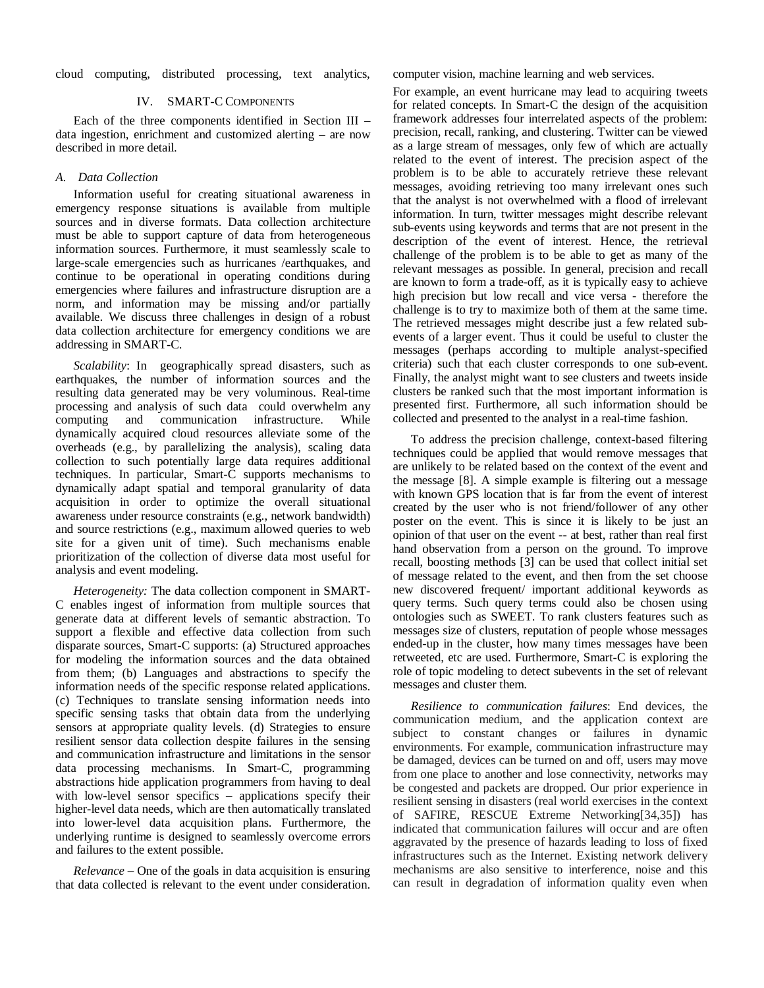cloud computing, distributed processing, text analytics, computer vision, machine learning and web services.

#### IV. SMART-C COMPONENTS

Each of the three components identified in Section III – data ingestion, enrichment and customized alerting – are now described in more detail.

### *A. Data Collection*

Information useful for creating situational awareness in emergency response situations is available from multiple sources and in diverse formats. Data collection architecture must be able to support capture of data from heterogeneous information sources. Furthermore, it must seamlessly scale to large-scale emergencies such as hurricanes /earthquakes, and continue to be operational in operating conditions during emergencies where failures and infrastructure disruption are a norm, and information may be missing and/or partially available. We discuss three challenges in design of a robust data collection architecture for emergency conditions we are addressing in SMART-C.

*Scalability*: In geographically spread disasters, such as earthquakes, the number of information sources and the resulting data generated may be very voluminous. Real-time processing and analysis of such data could overwhelm any computing and communication infrastructure. While dynamically acquired cloud resources alleviate some of the overheads (e.g., by parallelizing the analysis), scaling data collection to such potentially large data requires additional techniques. In particular, Smart-C supports mechanisms to dynamically adapt spatial and temporal granularity of data acquisition in order to optimize the overall situational awareness under resource constraints (e.g., network bandwidth) and source restrictions (e.g., maximum allowed queries to web site for a given unit of time). Such mechanisms enable prioritization of the collection of diverse data most useful for analysis and event modeling.

*Heterogeneity:* The data collection component in SMART-C enables ingest of information from multiple sources that generate data at different levels of semantic abstraction. To support a flexible and effective data collection from such disparate sources, Smart-C supports: (a) Structured approaches for modeling the information sources and the data obtained from them; (b) Languages and abstractions to specify the information needs of the specific response related applications. (c) Techniques to translate sensing information needs into specific sensing tasks that obtain data from the underlying sensors at appropriate quality levels. (d) Strategies to ensure resilient sensor data collection despite failures in the sensing and communication infrastructure and limitations in the sensor data processing mechanisms. In Smart-C, programming abstractions hide application programmers from having to deal with low-level sensor specifics – applications specify their higher-level data needs, which are then automatically translated into lower-level data acquisition plans. Furthermore, the underlying runtime is designed to seamlessly overcome errors and failures to the extent possible.

*Relevance* – One of the goals in data acquisition is ensuring that data collected is relevant to the event under consideration.

For example, an event hurricane may lead to acquiring tweets for related concepts. In Smart-C the design of the acquisition framework addresses four interrelated aspects of the problem: precision, recall, ranking, and clustering. Twitter can be viewed as a large stream of messages, only few of which are actually related to the event of interest. The precision aspect of the problem is to be able to accurately retrieve these relevant messages, avoiding retrieving too many irrelevant ones such that the analyst is not overwhelmed with a flood of irrelevant information. In turn, twitter messages might describe relevant sub-events using keywords and terms that are not present in the description of the event of interest. Hence, the retrieval challenge of the problem is to be able to get as many of the relevant messages as possible. In general, precision and recall are known to form a trade-off, as it is typically easy to achieve high precision but low recall and vice versa - therefore the challenge is to try to maximize both of them at the same time. The retrieved messages might describe just a few related subevents of a larger event. Thus it could be useful to cluster the messages (perhaps according to multiple analyst-specified criteria) such that each cluster corresponds to one sub-event. Finally, the analyst might want to see clusters and tweets inside clusters be ranked such that the most important information is presented first. Furthermore, all such information should be collected and presented to the analyst in a real-time fashion.

To address the precision challenge, context-based filtering techniques could be applied that would remove messages that are unlikely to be related based on the context of the event and the message [8]. A simple example is filtering out a message with known GPS location that is far from the event of interest created by the user who is not friend/follower of any other poster on the event. This is since it is likely to be just an opinion of that user on the event -- at best, rather than real first hand observation from a person on the ground. To improve recall, boosting methods [3] can be used that collect initial set of message related to the event, and then from the set choose new discovered frequent/ important additional keywords as query terms. Such query terms could also be chosen using ontologies such as SWEET. To rank clusters features such as messages size of clusters, reputation of people whose messages ended-up in the cluster, how many times messages have been retweeted, etc are used. Furthermore, Smart-C is exploring the role of topic modeling to detect subevents in the set of relevant messages and cluster them.

*Resilience to communication failures*: End devices, the communication medium, and the application context are subject to constant changes or failures in dynamic environments. For example, communication infrastructure may be damaged, devices can be turned on and off, users may move from one place to another and lose connectivity, networks may be congested and packets are dropped. Our prior experience in resilient sensing in disasters (real world exercises in the context of SAFIRE, RESCUE Extreme Networking[34,35]) has indicated that communication failures will occur and are often aggravated by the presence of hazards leading to loss of fixed infrastructures such as the Internet. Existing network delivery mechanisms are also sensitive to interference, noise and this can result in degradation of information quality even when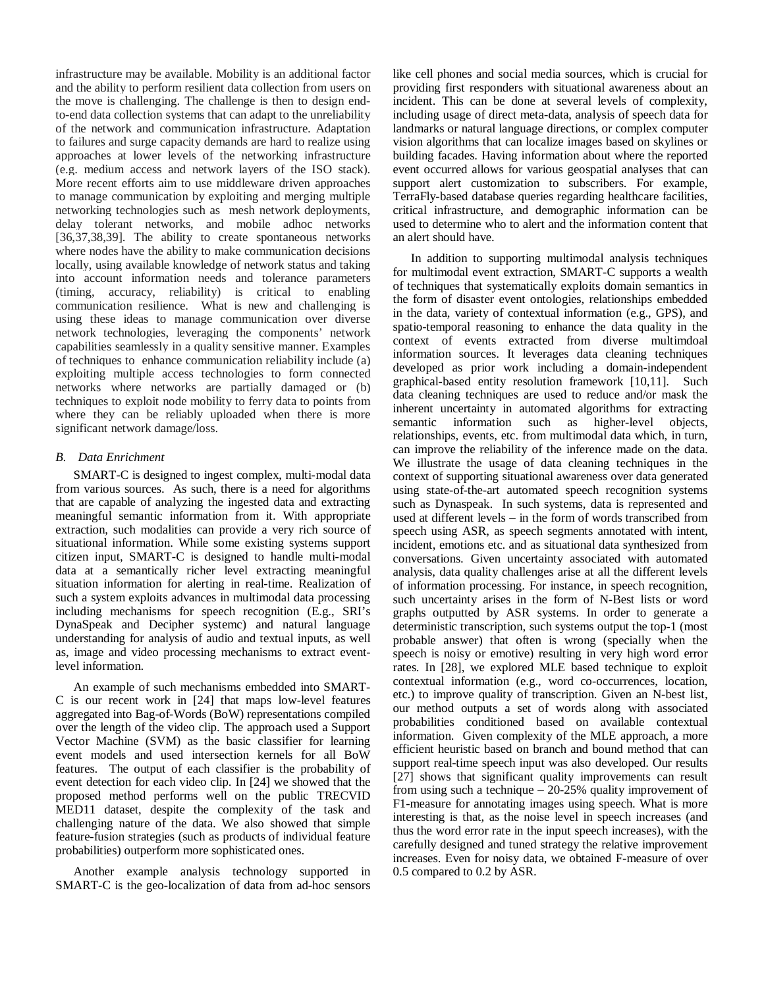infrastructure may be available. Mobility is an additional factor and the ability to perform resilient data collection from users on the move is challenging. The challenge is then to design endto-end data collection systems that can adapt to the unreliability of the network and communication infrastructure. Adaptation to failures and surge capacity demands are hard to realize using approaches at lower levels of the networking infrastructure (e.g. medium access and network layers of the ISO stack). More recent efforts aim to use middleware driven approaches to manage communication by exploiting and merging multiple networking technologies such as mesh network deployments, delay tolerant networks, and mobile adhoc networks [36,37,38,39]. The ability to create spontaneous networks where nodes have the ability to make communication decisions locally, using available knowledge of network status and taking into account information needs and tolerance parameters (timing, accuracy, reliability) is critical to enabling communication resilience. What is new and challenging is using these ideas to manage communication over diverse network technologies, leveraging the components' network capabilities seamlessly in a quality sensitive manner. Examples of techniques to enhance communication reliability include (a) exploiting multiple access technologies to form connected networks where networks are partially damaged or (b) techniques to exploit node mobility to ferry data to points from where they can be reliably uploaded when there is more significant network damage/loss.

# *B. Data Enrichment*

SMART-C is designed to ingest complex, multi-modal data from various sources. As such, there is a need for algorithms that are capable of analyzing the ingested data and extracting meaningful semantic information from it. With appropriate extraction, such modalities can provide a very rich source of situational information. While some existing systems support citizen input, SMART-C is designed to handle multi-modal data at a semantically richer level extracting meaningful situation information for alerting in real-time. Realization of such a system exploits advances in multimodal data processing including mechanisms for speech recognition (E.g., SRI's DynaSpeak and Decipher systemc) and natural language understanding for analysis of audio and textual inputs, as well as, image and video processing mechanisms to extract eventlevel information.

An example of such mechanisms embedded into SMART-C is our recent work in [24] that maps low-level features aggregated into Bag-of-Words (BoW) representations compiled over the length of the video clip. The approach used a Support Vector Machine (SVM) as the basic classifier for learning event models and used intersection kernels for all BoW features. The output of each classifier is the probability of event detection for each video clip. In [24] we showed that the proposed method performs well on the public TRECVID MED11 dataset, despite the complexity of the task and challenging nature of the data. We also showed that simple feature-fusion strategies (such as products of individual feature probabilities) outperform more sophisticated ones.

Another example analysis technology supported in SMART-C is the geo-localization of data from ad-hoc sensors

like cell phones and social media sources, which is crucial for providing first responders with situational awareness about an incident. This can be done at several levels of complexity, including usage of direct meta-data, analysis of speech data for landmarks or natural language directions, or complex computer vision algorithms that can localize images based on skylines or building facades. Having information about where the reported event occurred allows for various geospatial analyses that can support alert customization to subscribers. For example, TerraFly-based database queries regarding healthcare facilities, critical infrastructure, and demographic information can be used to determine who to alert and the information content that an alert should have.

In addition to supporting multimodal analysis techniques for multimodal event extraction, SMART-C supports a wealth of techniques that systematically exploits domain semantics in the form of disaster event ontologies, relationships embedded in the data, variety of contextual information (e.g., GPS), and spatio-temporal reasoning to enhance the data quality in the context of events extracted from diverse multimdoal information sources. It leverages data cleaning techniques developed as prior work including a domain-independent graphical-based entity resolution framework [10,11]. Such data cleaning techniques are used to reduce and/or mask the inherent uncertainty in automated algorithms for extracting<br>semantic information such as higher-level objects, semantic information such as higher-level objects, relationships, events, etc. from multimodal data which, in turn, can improve the reliability of the inference made on the data. We illustrate the usage of data cleaning techniques in the context of supporting situational awareness over data generated using state-of-the-art automated speech recognition systems such as Dynaspeak. In such systems, data is represented and used at different levels – in the form of words transcribed from speech using ASR, as speech segments annotated with intent, incident, emotions etc. and as situational data synthesized from conversations. Given uncertainty associated with automated analysis, data quality challenges arise at all the different levels of information processing. For instance, in speech recognition, such uncertainty arises in the form of N-Best lists or word graphs outputted by ASR systems. In order to generate a deterministic transcription, such systems output the top-1 (most probable answer) that often is wrong (specially when the speech is noisy or emotive) resulting in very high word error rates. In [28], we explored MLE based technique to exploit contextual information (e.g., word co-occurrences, location, etc.) to improve quality of transcription. Given an N-best list, our method outputs a set of words along with associated probabilities conditioned based on available contextual information. Given complexity of the MLE approach, a more efficient heuristic based on branch and bound method that can support real-time speech input was also developed. Our results [27] shows that significant quality improvements can result from using such a technique – 20-25% quality improvement of F1-measure for annotating images using speech. What is more interesting is that, as the noise level in speech increases (and thus the word error rate in the input speech increases), with the carefully designed and tuned strategy the relative improvement increases. Even for noisy data, we obtained F-measure of over 0.5 compared to 0.2 by ASR.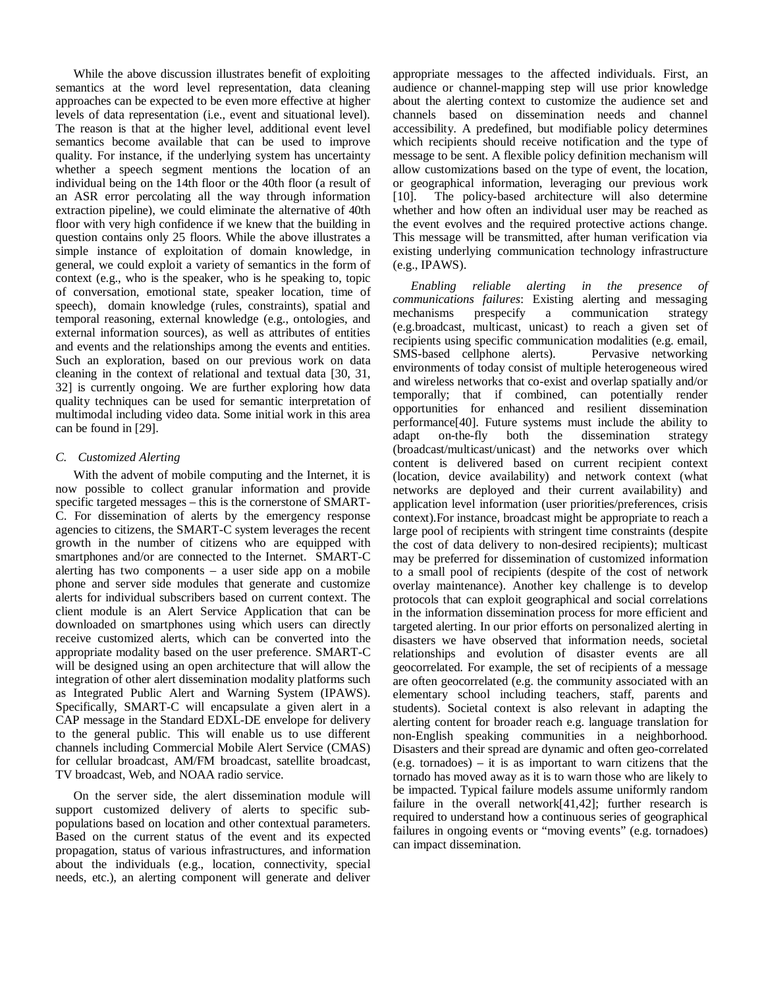While the above discussion illustrates benefit of exploiting semantics at the word level representation, data cleaning approaches can be expected to be even more effective at higher levels of data representation (i.e., event and situational level). The reason is that at the higher level, additional event level semantics become available that can be used to improve quality. For instance, if the underlying system has uncertainty whether a speech segment mentions the location of an individual being on the 14th floor or the 40th floor (a result of an ASR error percolating all the way through information extraction pipeline), we could eliminate the alternative of 40th floor with very high confidence if we knew that the building in question contains only 25 floors. While the above illustrates a simple instance of exploitation of domain knowledge, in general, we could exploit a variety of semantics in the form of context (e.g., who is the speaker, who is he speaking to, topic of conversation, emotional state, speaker location, time of speech), domain knowledge (rules, constraints), spatial and temporal reasoning, external knowledge (e.g., ontologies, and external information sources), as well as attributes of entities and events and the relationships among the events and entities. Such an exploration, based on our previous work on data cleaning in the context of relational and textual data [30, 31, 32] is currently ongoing. We are further exploring how data quality techniques can be used for semantic interpretation of multimodal including video data. Some initial work in this area can be found in [29].

## *C. Customized Alerting*

With the advent of mobile computing and the Internet, it is now possible to collect granular information and provide specific targeted messages – this is the cornerstone of SMART-C. For dissemination of alerts by the emergency response agencies to citizens, the SMART-C system leverages the recent growth in the number of citizens who are equipped with smartphones and/or are connected to the Internet. SMART-C alerting has two components – a user side app on a mobile phone and server side modules that generate and customize alerts for individual subscribers based on current context. The client module is an Alert Service Application that can be downloaded on smartphones using which users can directly receive customized alerts, which can be converted into the appropriate modality based on the user preference. SMART-C will be designed using an open architecture that will allow the integration of other alert dissemination modality platforms such as Integrated Public Alert and Warning System (IPAWS). Specifically, SMART-C will encapsulate a given alert in a CAP message in the Standard EDXL-DE envelope for delivery to the general public. This will enable us to use different channels including Commercial Mobile Alert Service (CMAS) for cellular broadcast, AM/FM broadcast, satellite broadcast, TV broadcast, Web, and NOAA radio service.

On the server side, the alert dissemination module will support customized delivery of alerts to specific subpopulations based on location and other contextual parameters. Based on the current status of the event and its expected propagation, status of various infrastructures, and information about the individuals (e.g., location, connectivity, special needs, etc.), an alerting component will generate and deliver

appropriate messages to the affected individuals. First, an audience or channel-mapping step will use prior knowledge about the alerting context to customize the audience set and channels based on dissemination needs and channel accessibility. A predefined, but modifiable policy determines which recipients should receive notification and the type of message to be sent. A flexible policy definition mechanism will allow customizations based on the type of event, the location, or geographical information, leveraging our previous work [10]. The policy-based architecture will also determine whether and how often an individual user may be reached as the event evolves and the required protective actions change. This message will be transmitted, after human verification via existing underlying communication technology infrastructure (e.g., IPAWS).

*Enabling reliable alerting in the presence of communications failures*: Existing alerting and messaging mechanisms prespecify a communication strategy (e.g.broadcast, multicast, unicast) to reach a given set of recipients using specific communication modalities (e.g. email, SMS-based cellphone alerts). Pervasive networking SMS-based cellphone alerts). environments of today consist of multiple heterogeneous wired and wireless networks that co-exist and overlap spatially and/or temporally; that if combined, can potentially render opportunities for enhanced and resilient dissemination performance[40]. Future systems must include the ability to adapt on-the-fly both the dissemination strategy (broadcast/multicast/unicast) and the networks over which content is delivered based on current recipient context (location, device availability) and network context (what networks are deployed and their current availability) and application level information (user priorities/preferences, crisis context).For instance, broadcast might be appropriate to reach a large pool of recipients with stringent time constraints (despite the cost of data delivery to non-desired recipients); multicast may be preferred for dissemination of customized information to a small pool of recipients (despite of the cost of network overlay maintenance). Another key challenge is to develop protocols that can exploit geographical and social correlations in the information dissemination process for more efficient and targeted alerting. In our prior efforts on personalized alerting in disasters we have observed that information needs, societal relationships and evolution of disaster events are all geocorrelated. For example, the set of recipients of a message are often geocorrelated (e.g. the community associated with an elementary school including teachers, staff, parents and students). Societal context is also relevant in adapting the alerting content for broader reach e.g. language translation for non-English speaking communities in a neighborhood. Disasters and their spread are dynamic and often geo-correlated (e.g. tornadoes) – it is as important to warn citizens that the tornado has moved away as it is to warn those who are likely to be impacted. Typical failure models assume uniformly random failure in the overall network[41,42]; further research is required to understand how a continuous series of geographical failures in ongoing events or "moving events" (e.g. tornadoes) can impact dissemination.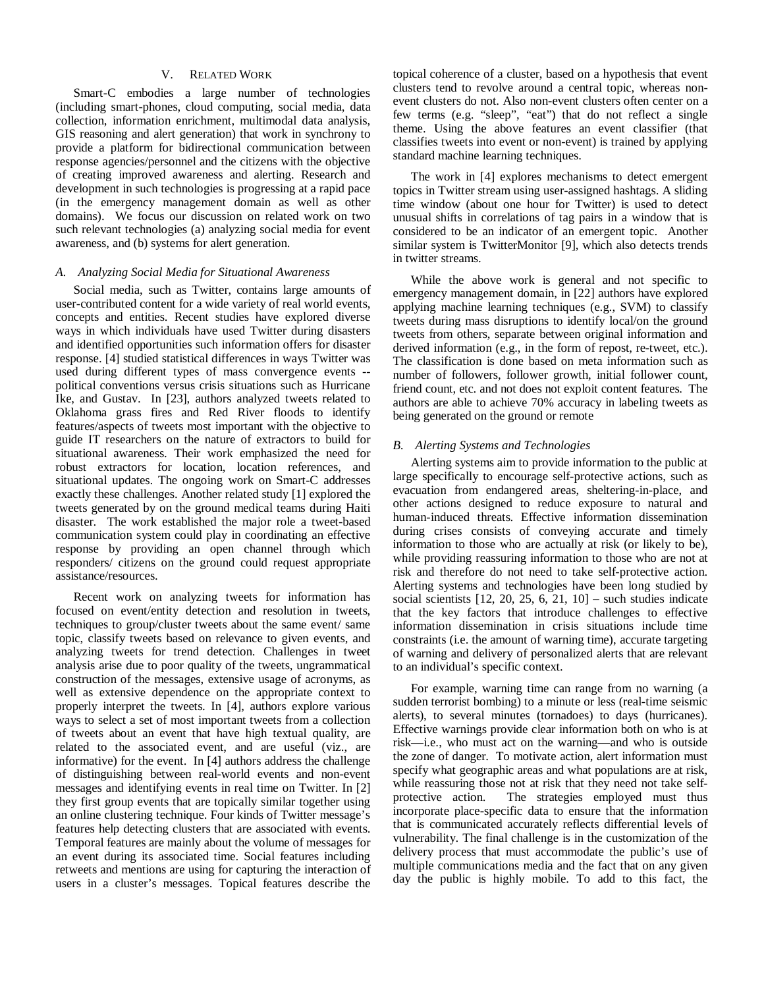#### V. RELATED WORK

Smart-C embodies a large number of technologies (including smart-phones, cloud computing, social media, data collection, information enrichment, multimodal data analysis, GIS reasoning and alert generation) that work in synchrony to provide a platform for bidirectional communication between response agencies/personnel and the citizens with the objective of creating improved awareness and alerting. Research and development in such technologies is progressing at a rapid pace (in the emergency management domain as well as other domains). We focus our discussion on related work on two such relevant technologies (a) analyzing social media for event awareness, and (b) systems for alert generation.

#### *A. Analyzing Social Media for Situational Awareness*

Social media, such as Twitter, contains large amounts of user-contributed content for a wide variety of real world events, concepts and entities. Recent studies have explored diverse ways in which individuals have used Twitter during disasters and identified opportunities such information offers for disaster response. [4] studied statistical differences in ways Twitter was used during different types of mass convergence events - political conventions versus crisis situations such as Hurricane Ike, and Gustav. In [23], authors analyzed tweets related to Oklahoma grass fires and Red River floods to identify features/aspects of tweets most important with the objective to guide IT researchers on the nature of extractors to build for situational awareness. Their work emphasized the need for robust extractors for location, location references, and situational updates. The ongoing work on Smart-C addresses exactly these challenges. Another related study [1] explored the tweets generated by on the ground medical teams during Haiti disaster. The work established the major role a tweet-based communication system could play in coordinating an effective response by providing an open channel through which responders/ citizens on the ground could request appropriate assistance/resources.

Recent work on analyzing tweets for information has focused on event/entity detection and resolution in tweets, techniques to group/cluster tweets about the same event/ same topic, classify tweets based on relevance to given events, and analyzing tweets for trend detection. Challenges in tweet analysis arise due to poor quality of the tweets, ungrammatical construction of the messages, extensive usage of acronyms, as well as extensive dependence on the appropriate context to properly interpret the tweets. In [4], authors explore various ways to select a set of most important tweets from a collection of tweets about an event that have high textual quality, are related to the associated event, and are useful (viz., are informative) for the event. In [4] authors address the challenge of distinguishing between real-world events and non-event messages and identifying events in real time on Twitter. In [2] they first group events that are topically similar together using an online clustering technique. Four kinds of Twitter message's features help detecting clusters that are associated with events. Temporal features are mainly about the volume of messages for an event during its associated time. Social features including retweets and mentions are using for capturing the interaction of users in a cluster's messages. Topical features describe the

topical coherence of a cluster, based on a hypothesis that event clusters tend to revolve around a central topic, whereas nonevent clusters do not. Also non-event clusters often center on a few terms (e.g. "sleep", "eat") that do not reflect a single theme. Using the above features an event classifier (that classifies tweets into event or non-event) is trained by applying standard machine learning techniques.

The work in [4] explores mechanisms to detect emergent topics in Twitter stream using user-assigned hashtags. A sliding time window (about one hour for Twitter) is used to detect unusual shifts in correlations of tag pairs in a window that is considered to be an indicator of an emergent topic. Another similar system is TwitterMonitor [9], which also detects trends in twitter streams.

While the above work is general and not specific to emergency management domain, in [22] authors have explored applying machine learning techniques (e.g., SVM) to classify tweets during mass disruptions to identify local/on the ground tweets from others, separate between original information and derived information (e.g., in the form of repost, re-tweet, etc.). The classification is done based on meta information such as number of followers, follower growth, initial follower count, friend count, etc. and not does not exploit content features. The authors are able to achieve 70% accuracy in labeling tweets as being generated on the ground or remote

# *B. Alerting Systems and Technologies*

Alerting systems aim to provide information to the public at large specifically to encourage self-protective actions, such as evacuation from endangered areas, sheltering-in-place, and other actions designed to reduce exposure to natural and human-induced threats. Effective information dissemination during crises consists of conveying accurate and timely information to those who are actually at risk (or likely to be), while providing reassuring information to those who are not at risk and therefore do not need to take self-protective action. Alerting systems and technologies have been long studied by social scientists  $[12, 20, 25, 6, 21, 10]$  – such studies indicate that the key factors that introduce challenges to effective information dissemination in crisis situations include time constraints (i.e. the amount of warning time), accurate targeting of warning and delivery of personalized alerts that are relevant to an individual's specific context.

For example, warning time can range from no warning (a sudden terrorist bombing) to a minute or less (real-time seismic alerts), to several minutes (tornadoes) to days (hurricanes). Effective warnings provide clear information both on who is at risk—i.e., who must act on the warning—and who is outside the zone of danger. To motivate action, alert information must specify what geographic areas and what populations are at risk, while reassuring those not at risk that they need not take selfprotective action. The strategies employed must thus incorporate place-specific data to ensure that the information that is communicated accurately reflects differential levels of vulnerability. The final challenge is in the customization of the delivery process that must accommodate the public's use of multiple communications media and the fact that on any given day the public is highly mobile. To add to this fact, the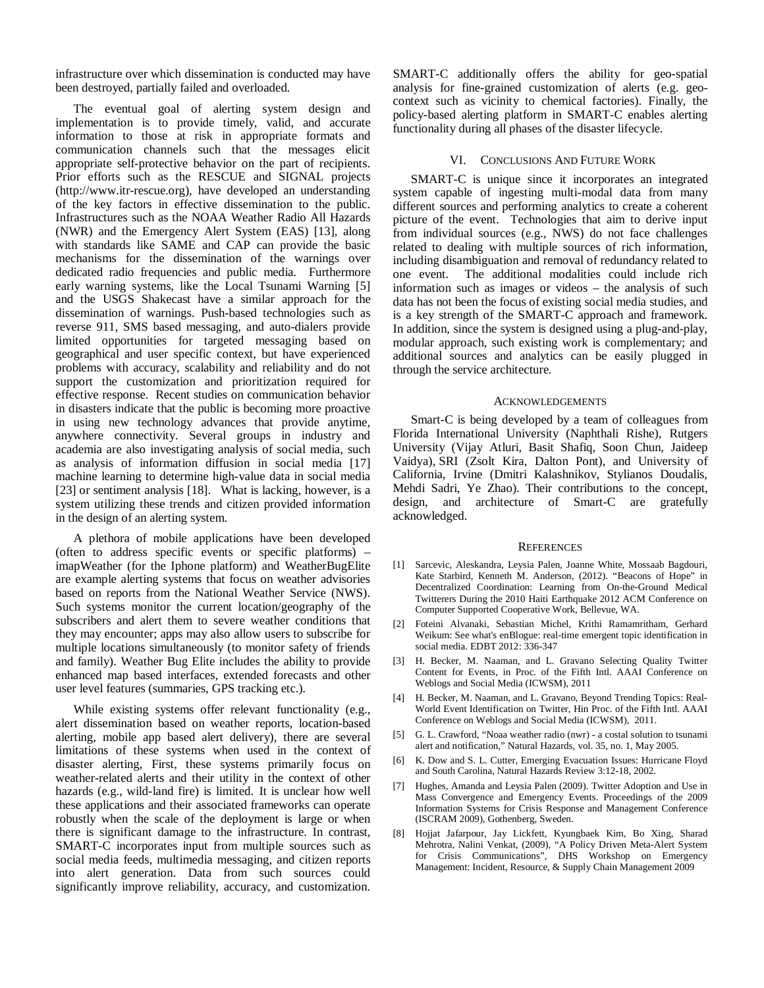infrastructure over which dissemination is conducted may have been destroyed, partially failed and overloaded.

The eventual goal of alerting system design and implementation is to provide timely, valid, and accurate information to those at risk in appropriate formats and communication channels such that the messages elicit appropriate self-protective behavior on the part of recipients. Prior efforts such as the RESCUE and SIGNAL projects (http://www.itr-rescue.org), have developed an understanding of the key factors in effective dissemination to the public. Infrastructures such as the NOAA Weather Radio All Hazards (NWR) and the Emergency Alert System (EAS) [13], along with standards like SAME and CAP can provide the basic mechanisms for the dissemination of the warnings over dedicated radio frequencies and public media. Furthermore early warning systems, like the Local Tsunami Warning [5] and the USGS Shakecast have a similar approach for the dissemination of warnings. Push-based technologies such as reverse 911, SMS based messaging, and auto-dialers provide limited opportunities for targeted messaging based on geographical and user specific context, but have experienced problems with accuracy, scalability and reliability and do not support the customization and prioritization required for effective response. Recent studies on communication behavior in disasters indicate that the public is becoming more proactive in using new technology advances that provide anytime, anywhere connectivity. Several groups in industry and academia are also investigating analysis of social media, such as analysis of information diffusion in social media [17] machine learning to determine high-value data in social media [23] or sentiment analysis [18]. What is lacking, however, is a system utilizing these trends and citizen provided information in the design of an alerting system.

A plethora of mobile applications have been developed (often to address specific events or specific platforms) – imapWeather (for the Iphone platform) and WeatherBugElite are example alerting systems that focus on weather advisories based on reports from the National Weather Service (NWS). Such systems monitor the current location/geography of the subscribers and alert them to severe weather conditions that they may encounter; apps may also allow users to subscribe for multiple locations simultaneously (to monitor safety of friends and family). Weather Bug Elite includes the ability to provide enhanced map based interfaces, extended forecasts and other user level features (summaries, GPS tracking etc.).

While existing systems offer relevant functionality (e.g., alert dissemination based on weather reports, location-based alerting, mobile app based alert delivery), there are several limitations of these systems when used in the context of disaster alerting, First, these systems primarily focus on weather-related alerts and their utility in the context of other hazards (e.g., wild-land fire) is limited. It is unclear how well these applications and their associated frameworks can operate robustly when the scale of the deployment is large or when there is significant damage to the infrastructure. In contrast, SMART-C incorporates input from multiple sources such as social media feeds, multimedia messaging, and citizen reports into alert generation. Data from such sources could significantly improve reliability, accuracy, and customization.

SMART-C additionally offers the ability for geo-spatial analysis for fine-grained customization of alerts (e.g. geocontext such as vicinity to chemical factories). Finally, the policy-based alerting platform in SMART-C enables alerting functionality during all phases of the disaster lifecycle.

#### VI. CONCLUSIONS AND FUTURE WORK

SMART-C is unique since it incorporates an integrated system capable of ingesting multi-modal data from many different sources and performing analytics to create a coherent picture of the event. Technologies that aim to derive input from individual sources (e.g., NWS) do not face challenges related to dealing with multiple sources of rich information, including disambiguation and removal of redundancy related to one event. The additional modalities could include rich information such as images or videos – the analysis of such data has not been the focus of existing social media studies, and is a key strength of the SMART-C approach and framework. In addition, since the system is designed using a plug-and-play, modular approach, such existing work is complementary; and additional sources and analytics can be easily plugged in through the service architecture.

#### ACKNOWLEDGEMENTS

Smart-C is being developed by a team of colleagues from Florida International University (Naphthali Rishe), Rutgers University (Vijay Atluri, Basit Shafiq, Soon Chun, Jaideep Vaidya), SRI (Zsolt Kira, Dalton Pont), and University of California, Irvine (Dmitri Kalashnikov, Stylianos Doudalis, Mehdi Sadri, Ye Zhao). Their contributions to the concept, design, and architecture of Smart-C are gratefully acknowledged.

#### **REFERENCES**

- [1] [Sarcevic, Aleskandra, Leysia Palen, Joanne White, Mossaab Bagdouri,](http://www.cs.colorado.edu/~palen/Home/Articles_by_Year_files/Sarcevic-et-al-HaitiMedicalTwitterers.pdf)  [Kate Starbird, Kenneth M. Anderson, \(2012\). "Beacons of Hope" in](http://www.cs.colorado.edu/~palen/Home/Articles_by_Year_files/Sarcevic-et-al-HaitiMedicalTwitterers.pdf)  [Decentralized Coordination: Learning from](http://www.cs.colorado.edu/~palen/Home/Articles_by_Year_files/Sarcevic-et-al-HaitiMedicalTwitterers.pdf) On-the-Ground Medical [Twitterers During the 2010 Haiti Earthquake 2012 ACM Conference on](http://www.cs.colorado.edu/~palen/Home/Articles_by_Year_files/Sarcevic-et-al-HaitiMedicalTwitterers.pdf)  [Computer Supported Cooperative Work, Bellevue, WA.](http://www.cs.colorado.edu/~palen/Home/Articles_by_Year_files/Sarcevic-et-al-HaitiMedicalTwitterers.pdf)
- [2] Foteini Alvanaki, Sebastian Michel, Krithi Ramamritham, Gerhard Weikum: See what's enBlogue: real-time emergent topic identification in social media. EDBT 2012: 336-347
- [3] H. Becker, M. Naaman, and L. Gravano Selecting Quality Twitter Content for Events, in Proc. of the Fifth Intl. AAAI Conference on Weblogs and Social Media (ICWSM), 2011
- [4] H. Becker, M. Naaman, and L. Gravano, Beyond Trending Topics: Real-World Event Identification on Twitter, Hin Proc. of the Fifth Intl. AAAI Conference on Weblogs and Social Media (ICWSM), 2011.
- [5] G. L. Crawford, "Noaa weather radio (nwr) a costal solution to tsunami alert and notification," Natural Hazards, vol. 35, no. 1, May 2005.
- [6] K. Dow and S. L. Cutter, Emerging Evacuation Issues: Hurricane Floyd and South Carolina, Natural Hazards Review 3:12-18, 2002.
- [7] [Hughes, Amanda and Leysia Palen \(2009\). Twitter Adoption and Use in](http://www.iscram.org/ISCRAM2009/papers/Contributions/211_Twitter%20Adoption%20and%20Use%20in%20Mass%20Convergence_Hughes2009.pdf)  [Mass Convergence and Emergency Events. Proceedings of the 2009](http://www.iscram.org/ISCRAM2009/papers/Contributions/211_Twitter%20Adoption%20and%20Use%20in%20Mass%20Convergence_Hughes2009.pdf)  [Information Systems for Crisis Response and Management Conference](http://www.iscram.org/ISCRAM2009/papers/Contributions/211_Twitter%20Adoption%20and%20Use%20in%20Mass%20Convergence_Hughes2009.pdf)  [\(ISCRAM 2009\), Gothenberg, Sweden.](http://www.iscram.org/ISCRAM2009/papers/Contributions/211_Twitter%20Adoption%20and%20Use%20in%20Mass%20Convergence_Hughes2009.pdf)
- [8] Hojjat Jafarpour, Jay Lickfett, Kyungbaek Kim, Bo Xing, Sharad Mehrotra, Nalini Venkat, (2009), "A Policy Driven Meta-Alert System for Crisis Communications", DHS Workshop on Emergency Management: Incident, Resource, & Supply Chain Management 2009